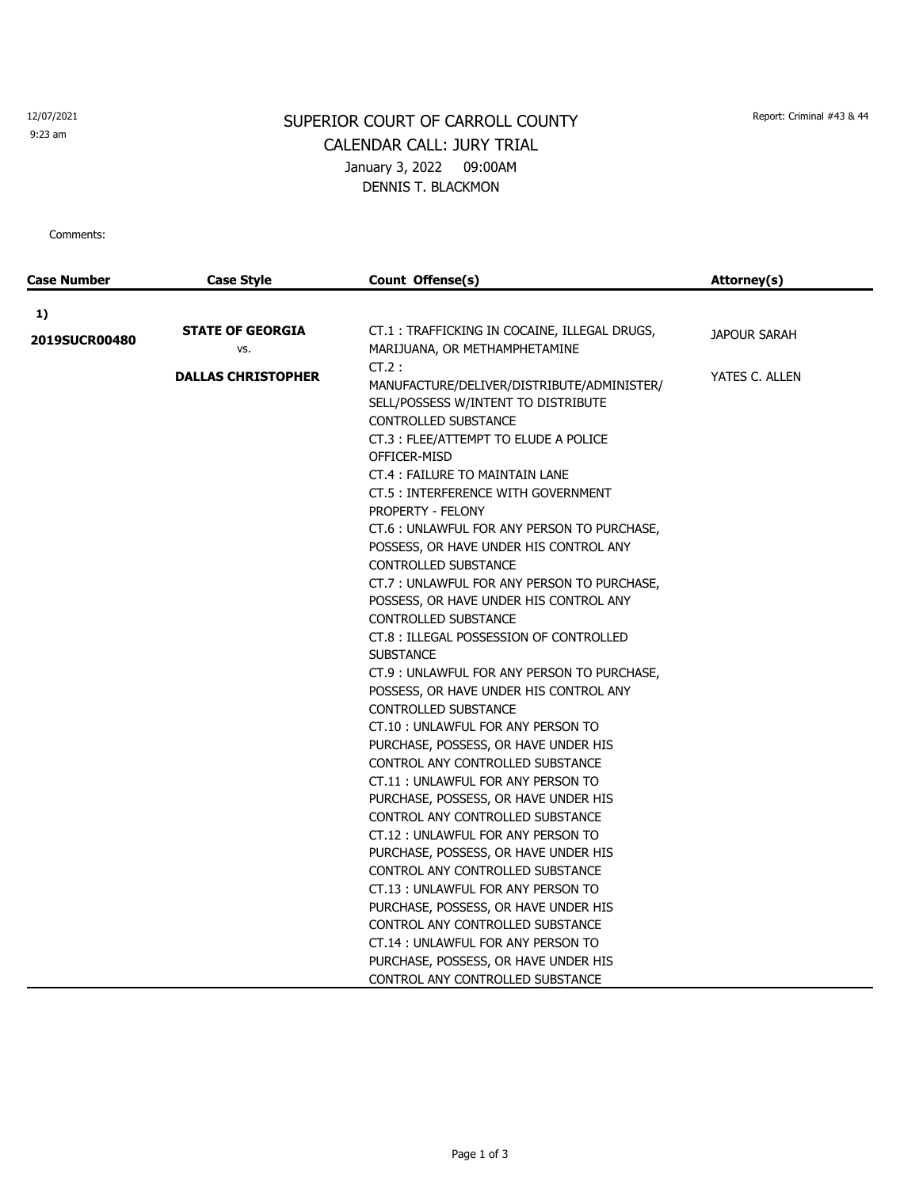12/07/2021

9:23 am

## SUPERIOR COURT OF CARROLL COUNTY Report: Criminal #43 & 44 CALENDAR CALL: JURY TRIAL January 3, 2022 09:00AM DENNIS T. BLACKMON

Comments:

| Case Number   | <b>Case Style</b>              | Count Offense(s)                                                                                                                                                                                                                                                                                                                                                                                                                                                                                                                                                      | Attorney(s)    |
|---------------|--------------------------------|-----------------------------------------------------------------------------------------------------------------------------------------------------------------------------------------------------------------------------------------------------------------------------------------------------------------------------------------------------------------------------------------------------------------------------------------------------------------------------------------------------------------------------------------------------------------------|----------------|
| 1)            |                                |                                                                                                                                                                                                                                                                                                                                                                                                                                                                                                                                                                       |                |
| 2019SUCR00480 | <b>STATE OF GEORGIA</b><br>VS. | CT.1 : TRAFFICKING IN COCAINE, ILLEGAL DRUGS,<br>MARIJUANA, OR METHAMPHETAMINE                                                                                                                                                                                                                                                                                                                                                                                                                                                                                        | JAPOUR SARAH   |
|               | <b>DALLAS CHRISTOPHER</b>      | $CT.2$ :<br>MANUFACTURE/DELIVER/DISTRIBUTE/ADMINISTER/<br>SELL/POSSESS W/INTENT TO DISTRIBUTE<br><b>CONTROLLED SUBSTANCE</b><br>CT.3: FLEE/ATTEMPT TO ELUDE A POLICE<br>OFFICER-MISD<br>CT.4 : FAILURE TO MAINTAIN LANE<br>CT.5 : INTERFERENCE WITH GOVERNMENT<br>PROPERTY - FELONY<br>CT.6 : UNLAWFUL FOR ANY PERSON TO PURCHASE,<br>POSSESS, OR HAVE UNDER HIS CONTROL ANY<br>CONTROLLED SUBSTANCE<br>CT.7: UNLAWFUL FOR ANY PERSON TO PURCHASE,                                                                                                                    | YATES C. ALLEN |
|               |                                | POSSESS, OR HAVE UNDER HIS CONTROL ANY<br>CONTROLLED SUBSTANCE<br>CT.8 : ILLEGAL POSSESSION OF CONTROLLED<br><b>SUBSTANCE</b><br>CT.9 : UNLAWFUL FOR ANY PERSON TO PURCHASE,<br>POSSESS, OR HAVE UNDER HIS CONTROL ANY<br><b>CONTROLLED SUBSTANCE</b><br>CT.10: UNLAWFUL FOR ANY PERSON TO<br>PURCHASE, POSSESS, OR HAVE UNDER HIS<br>CONTROL ANY CONTROLLED SUBSTANCE<br>CT.11: UNLAWFUL FOR ANY PERSON TO<br>PURCHASE, POSSESS, OR HAVE UNDER HIS<br>CONTROL ANY CONTROLLED SUBSTANCE<br>CT.12 : UNLAWFUL FOR ANY PERSON TO<br>PURCHASE, POSSESS, OR HAVE UNDER HIS |                |
|               |                                | CONTROL ANY CONTROLLED SUBSTANCE<br>CT.13: UNLAWFUL FOR ANY PERSON TO<br>PURCHASE, POSSESS, OR HAVE UNDER HIS<br>CONTROL ANY CONTROLLED SUBSTANCE<br>CT.14 : UNLAWFUL FOR ANY PERSON TO<br>PURCHASE, POSSESS, OR HAVE UNDER HIS<br>CONTROL ANY CONTROLLED SUBSTANCE                                                                                                                                                                                                                                                                                                   |                |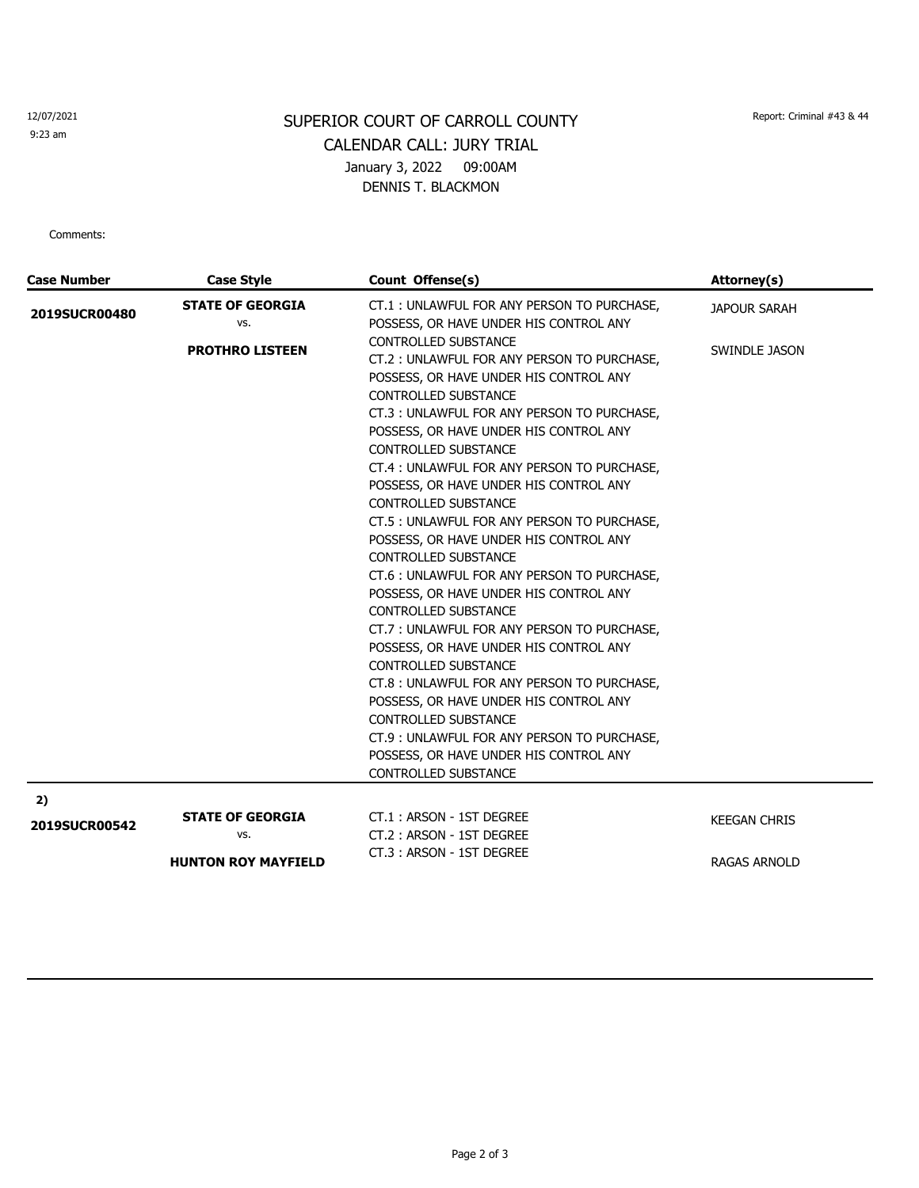## 12/07/2021

9:23 am

## SUPERIOR COURT OF CARROLL COUNTY Report: Criminal #43 & 44 CALENDAR CALL: JURY TRIAL January 3, 2022 09:00AM DENNIS T. BLACKMON

Comments:

| <b>Case Number</b>   | <b>Case Style</b>                                            | Count Offense(s)                                                                                                                                                                                                                                                                                                                                                                                                                                                                                                                                                                                                                                                                                                                                                                                                                                                                                                                                                                                                                                        | Attorney(s)                                |
|----------------------|--------------------------------------------------------------|---------------------------------------------------------------------------------------------------------------------------------------------------------------------------------------------------------------------------------------------------------------------------------------------------------------------------------------------------------------------------------------------------------------------------------------------------------------------------------------------------------------------------------------------------------------------------------------------------------------------------------------------------------------------------------------------------------------------------------------------------------------------------------------------------------------------------------------------------------------------------------------------------------------------------------------------------------------------------------------------------------------------------------------------------------|--------------------------------------------|
| 2019SUCR00480        | <b>STATE OF GEORGIA</b><br>VS.<br><b>PROTHRO LISTEEN</b>     | CT.1: UNLAWFUL FOR ANY PERSON TO PURCHASE,<br>POSSESS, OR HAVE UNDER HIS CONTROL ANY<br>CONTROLLED SUBSTANCE<br>CT.2: UNLAWFUL FOR ANY PERSON TO PURCHASE,<br>POSSESS, OR HAVE UNDER HIS CONTROL ANY<br>CONTROLLED SUBSTANCE<br>CT.3: UNLAWFUL FOR ANY PERSON TO PURCHASE,<br>POSSESS, OR HAVE UNDER HIS CONTROL ANY<br>CONTROLLED SUBSTANCE<br>CT.4 : UNLAWFUL FOR ANY PERSON TO PURCHASE,<br>POSSESS, OR HAVE UNDER HIS CONTROL ANY<br>CONTROLLED SUBSTANCE<br>CT.5 : UNLAWFUL FOR ANY PERSON TO PURCHASE,<br>POSSESS, OR HAVE UNDER HIS CONTROL ANY<br><b>CONTROLLED SUBSTANCE</b><br>CT.6 : UNLAWFUL FOR ANY PERSON TO PURCHASE,<br>POSSESS, OR HAVE UNDER HIS CONTROL ANY<br>CONTROLLED SUBSTANCE<br>CT.7: UNLAWFUL FOR ANY PERSON TO PURCHASE,<br>POSSESS, OR HAVE UNDER HIS CONTROL ANY<br>CONTROLLED SUBSTANCE<br>CT.8: UNLAWFUL FOR ANY PERSON TO PURCHASE,<br>POSSESS, OR HAVE UNDER HIS CONTROL ANY<br>CONTROLLED SUBSTANCE<br>CT.9 : UNLAWFUL FOR ANY PERSON TO PURCHASE,<br>POSSESS, OR HAVE UNDER HIS CONTROL ANY<br>CONTROLLED SUBSTANCE | <b>JAPOUR SARAH</b><br>SWINDLE JASON       |
| 2)                   |                                                              |                                                                                                                                                                                                                                                                                                                                                                                                                                                                                                                                                                                                                                                                                                                                                                                                                                                                                                                                                                                                                                                         |                                            |
| <b>2019SUCR00542</b> | <b>STATE OF GEORGIA</b><br>VS.<br><b>HUNTON ROY MAYFIELD</b> | CT.1: ARSON - 1ST DEGREE<br>CT.2: ARSON - 1ST DEGREE<br>CT.3: ARSON - 1ST DEGREE                                                                                                                                                                                                                                                                                                                                                                                                                                                                                                                                                                                                                                                                                                                                                                                                                                                                                                                                                                        | <b>KEEGAN CHRIS</b><br><b>RAGAS ARNOLD</b> |
|                      |                                                              |                                                                                                                                                                                                                                                                                                                                                                                                                                                                                                                                                                                                                                                                                                                                                                                                                                                                                                                                                                                                                                                         |                                            |